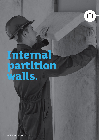# **Internal partition walls.**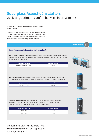# **Superglass Acoustic Insulation.** Achieving optimum comfort between internal rooms.

#### **Internal partition walls are those that separate rooms within a building.**

Superglass acoustic insulation significantly reduces the passage of sound, enhancing both comfort and privacy. Furthermore, the flexible nature of the rolls and slabs allows for precise installation between studs and in a wide variety of partition types.

#### **Superglass acoustic insulation for internal walls**

**Multi Purpose Acoustic Slab** is a lightweight, non-combustible glass mineral wool insulation slab. The slab is manufactured to allow easy installation between common stud spacings, and minimum on-site cutting and waste.

| <b>Superglass Products</b>  | <b>Nominal density</b> |
|-----------------------------|------------------------|
| Multi Purpose Acoustic Slab | $22$ kg/m <sup>3</sup> |
|                             |                        |

**Multi Acoustic Roll** is a lightweight, non-combustible glass mineral wool insulation roll. The flexible roll is perforated at 2x600mm and 3x400mm widths to allow easy installation.

| <b>Superglass Products</b> | Minimum density        |  |  |
|----------------------------|------------------------|--|--|
| Multi Acoustic Roll        | $10$ kg/m <sup>3</sup> |  |  |

**Acoustic Partition Roll (APR)** is a lightweight, non-combustible glass mineral wool insulation roll. The flexible roll is manufactured to allow easy installation between common stud spacings, and minimum on-site cutting and waste.

| <b>Superglass Products</b> | <b>Nominal density</b> |
|----------------------------|------------------------|
| 25mm APR                   | $18$ kg/m <sup>3</sup> |
| 50mm APR                   | $16$ kg/m <sup>3</sup> |

Our technical team will help you find **the best solution** for your application, call **0808 1645 134**.







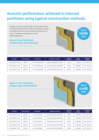# **Acoustic performance achieved in internal partitions using typical construction methods.**

Superglass acoustic insulation helps to deliver superior levels of sound performance for the comfort of a building's occupants. Our tested solutions for metal and timber stud partitions can assist in meeting the requirements of current Building Regulations.

## **Metal C Stud Partitions (Double layer plasterboard)**



| <b>Stud Type</b>  | <b>Stud Spacing</b> | <b>Plasterboard</b> | <b>Superglass Insulation</b>  | <b>Insulation</b><br><b>Thickness</b> | Sound<br><b>Reduction</b> | <b>Test Report</b><br><b>Number</b> |
|-------------------|---------------------|---------------------|-------------------------------|---------------------------------------|---------------------------|-------------------------------------|
| 48mm Metal C Stud | 600mm               | 2 x 12.5mm Standard | Acoustic Partition Roll (APR) | 25mm                                  | 47 dB (Rw)                | <b>BTC 18741A</b>                   |
| 70mm Metal C Stud | 600mm               | 2 x 12.5mm Standard | Acoustic Partition Roll (APR) | 25mm                                  | 49 dB (Rw)                | <b>BTC 18760A</b>                   |
| 70mm Metal C Stud | 600mm               | 2 x 12.5mm Standard | Acoustic Partition Roll (APR) | 50 <sub>mm</sub>                      | 50 dB (Rw)                | <b>BTC 18761A</b>                   |

### **Metal C Stud Partitions (Single layer plasterboard)**



| <b>Stud Type</b>  | <b>Stud Spacing</b> | Plasterboard    | <b>Superglass Insulation</b>  | <b>Insulation</b><br><b>Thickness</b> | Sound<br><b>Reduction</b> | <b>Test Report</b><br><b>Number</b> |
|-------------------|---------------------|-----------------|-------------------------------|---------------------------------------|---------------------------|-------------------------------------|
| 48mm Metal C Stud | 600mm               | 12.5mm Standard | Acoustic Partition Roll (APR) | 25mm                                  | 40 dB (Rw)                | <b>BTC 18741A</b>                   |
| 48mm Metal C Stud | 600mm               | 12.5mm Standard | Acoustic Partition Roll (APR) | 50 <sub>mm</sub>                      | 42 dB (Rw)                | <b>BTC 18757A</b>                   |
| 48mm Metal C Stud | 600mm               | 12.5mm Standard | Multi Purpose Acoustic Slab   | 50 <sub>mm</sub>                      | 43 dB (Rw)                | <b>BTC 18758A</b>                   |
| 70mm Metal C Stud | 600mm               | 12.5mm Standard | Acoustic Partition Roll (APR) | 25mm                                  | 42 dB (Rw)                | <b>BTC 18760A</b>                   |
| 70mm Metal C Stud | 600mm               | 12.5mm Standard | Acoustic Partition Roll (APR) | 50 <sub>mm</sub>                      | 44 dB (Rw)                | <b>BTC 18761A</b>                   |